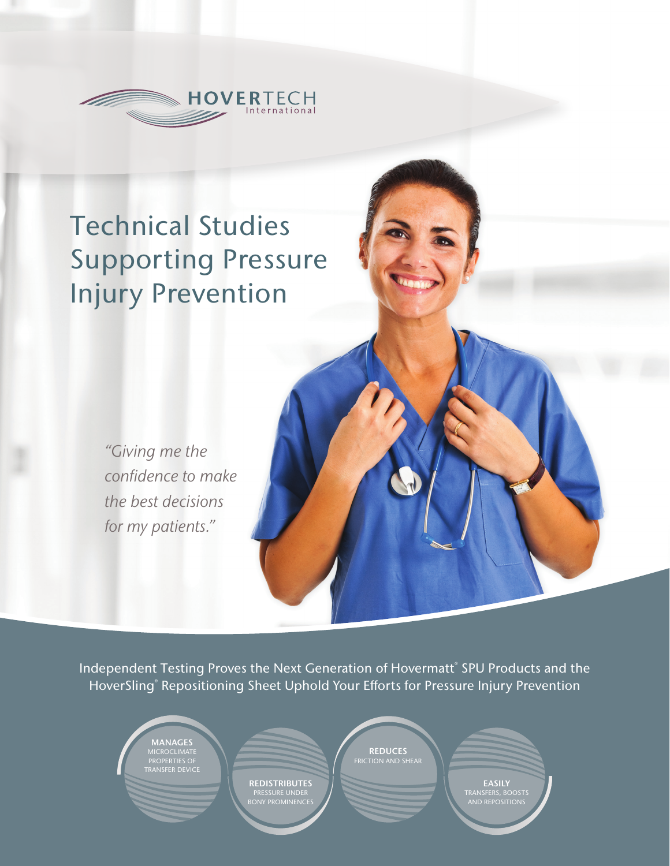

# Technical Studies Supporting Pressure Injury Prevention

*"Giving me the confidence to make the best decisions for my patients."*

Independent Testing Proves the Next Generation of Hovermatt® SPU Products and the HoverSling® Repositioning Sheet Uphold Your Efforts for Pressure Injury Prevention





**REDUCES**<br>FRICTION AND SHEAR

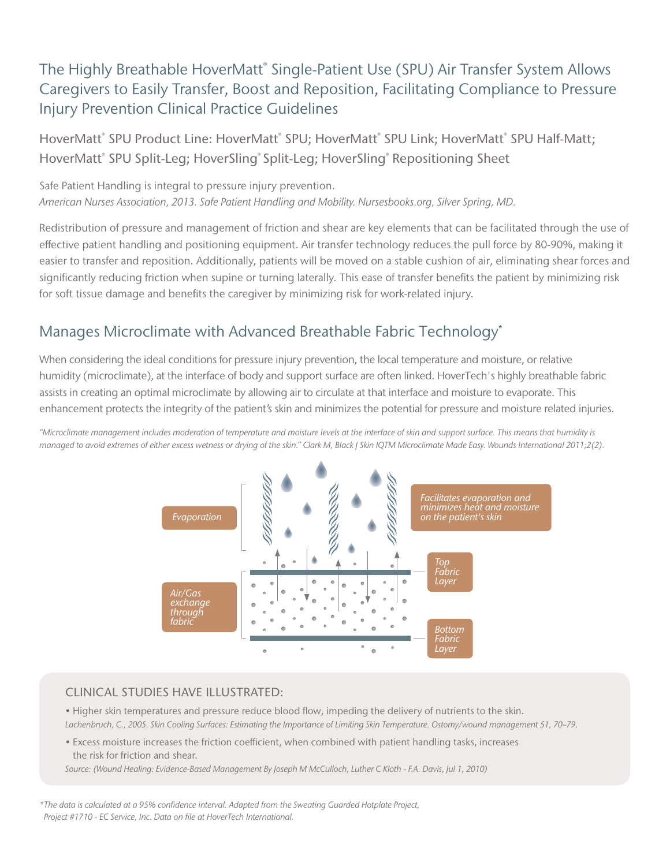### The Highly Breathable HoverMatt® Single-Patient Use (SPU) Air Transfer System Allows Caregivers to Easily Transfer, Boost and Reposition, Facilitating Compliance to Pressure Injury Prevention Clinical Practice Guidelines

HoverMatt $\degree$  SPU Product Line: HoverMatt $\degree$  SPU; HoverMatt $\degree$  SPU Link; HoverMatt $\degree$  SPU Half-Matt; HoverMatt<sup>®</sup> SPU Split-Leg; HoverSling® Split-Leg; HoverSling® Repositioning Sheet

Safe Patient Handling is integral to pressure injury prevention. *American Nurses Association, 2013. Safe Patient Handling and Mobility. Nursesbooks.org, Silver Spring, MD.* 

Redistribution of pressure and management of friction and shear are key elements that can be facilitated through the use of effective patient handling and positioning equipment. Air transfer technology reduces the pull force by 80-90%, making it easier to transfer and reposition. Additionally, patients will be moved on a stable cushion of air, eliminating shear forces and significantly reducing friction when supine or turning laterally. This ease of transfer benefits the patient by minimizing risk for soft tissue damage and benefits the caregiver by minimizing risk for work-related injury.

### Manages Microclimate with Advanced Breathable Fabric Technology\*

When considering the ideal conditions for pressure injury prevention, the local temperature and moisture, or relative humidity (microclimate), at the interface of body and support surface are often linked. HoverTech's highly breathable fabric assists in creating an optimal microclimate by allowing air to circulate at that interface and moisture to evaporate. This enhancement protects the integrity of the patient's skin and minimizes the potential for pressure and moisture related injuries.

*"Microclimate management includes moderation of temperature and moisture levels at the interface of skin and support surface. This means that humidity is managed to avoid extremes of either excess wetness or drying of the skin." Clark M, Black J Skin IQTM Microclimate Made Easy. Wounds International 2011;2(2).*



#### CLINICAL STUDIES HAVE ILLUSTRATED:

• Higher skin temperatures and pressure reduce blood flow, impeding the delivery of nutrients to the skin. *Lachenbruch, C., 2005. Skin Cooling Surfaces: Estimating the Importance of Limiting Skin Temperature. Ostomy/wound management 51, 70–79.*

• Excess moisture increases the friction coefficient, when combined with patient handling tasks, increases the risk for friction and shear.

*Source: (Wound Healing: Evidence-Based Management By Joseph M McCulloch, Luther C Kloth - F.A. Davis, Jul 1, 2010)*

*\*The data is calculated at a 95% confidence interval. Adapted from the Sweating Guarded Hotplate Project, Project #1710 - EC Service, Inc. Data on file at HoverTech International.*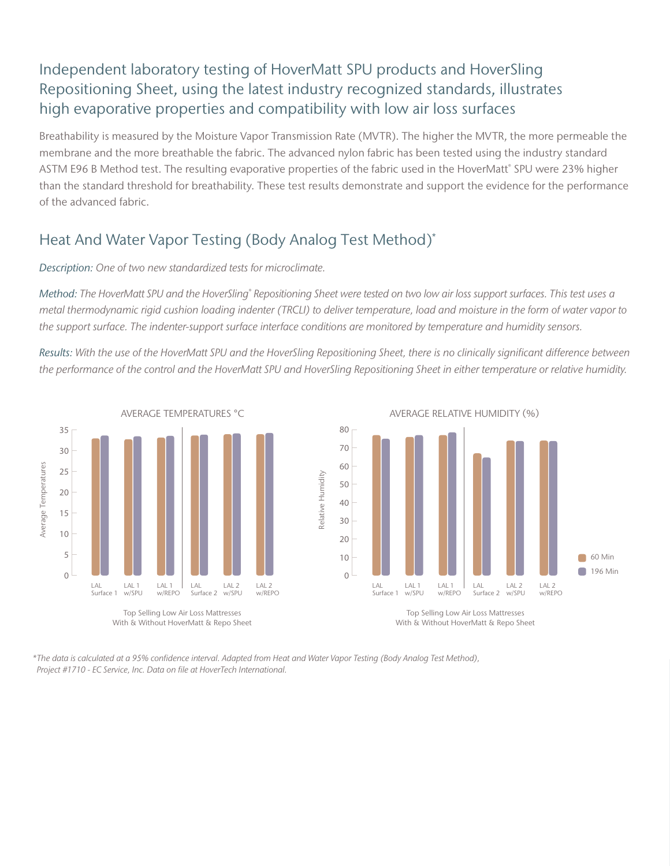### Independent laboratory testing of HoverMatt SPU products and HoverSling Repositioning Sheet, using the latest industry recognized standards, illustrates high evaporative properties and compatibility with low air loss surfaces

Breathability is measured by the Moisture Vapor Transmission Rate (MVTR). The higher the MVTR, the more permeable the membrane and the more breathable the fabric. The advanced nylon fabric has been tested using the industry standard ASTM E96 B Method test. The resulting evaporative properties of the fabric used in the HoverMatt® SPU were 23% higher than the standard threshold for breathability. These test results demonstrate and support the evidence for the performance of the advanced fabric.

### Heat And Water Vapor Testing (Body Analog Test Method)\*

#### *Description: One of two new standardized tests for microclimate.*

*Method: The HoverMatt SPU and the HoverSling® Repositioning Sheet were tested on two low air loss support surfaces. This test uses a metal thermodynamic rigid cushion loading indenter (TRCLI) to deliver temperature, load and moisture in the form of water vapor to the support surface. The indenter-support surface interface conditions are monitored by temperature and humidity sensors.* 

*Results: With the use of the HoverMatt SPU and the HoverSling Repositioning Sheet, there is no clinically significant difference between the performance of the control and the HoverMatt SPU and HoverSling Repositioning Sheet in either temperature or relative humidity.*



*\*The data is calculated at a 95% confidence interval. Adapted from Heat and Water Vapor Testing (Body Analog Test Method), Project #1710 - EC Service, Inc. Data on file at HoverTech International.*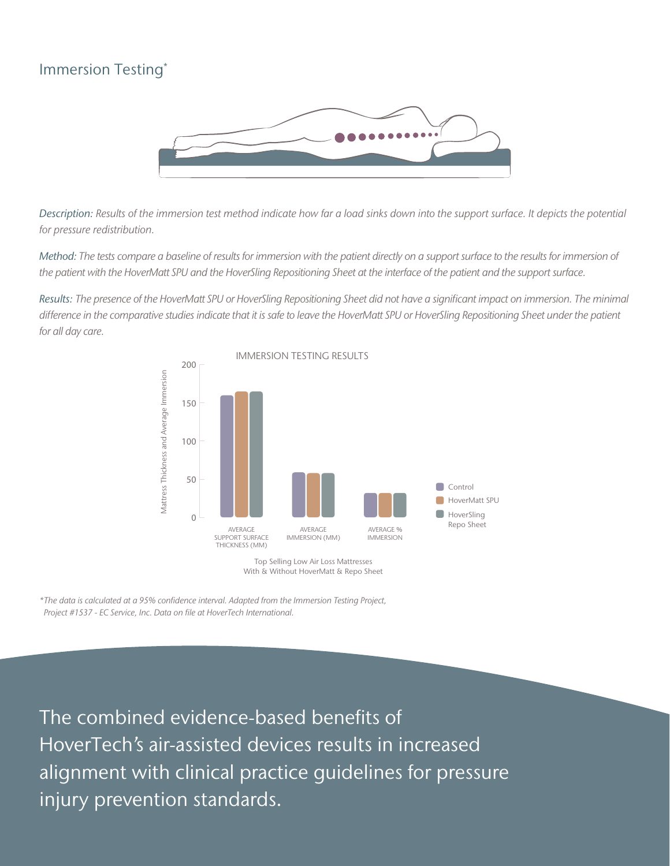### Immersion Testing\*



*Description: Results of the immersion test method indicate how far a load sinks down into the support surface. It depicts the potential for pressure redistribution.*

*Method: The tests compare a baseline of results for immersion with the patient directly on a support surface to the results for immersion of the patient with the HoverMatt SPU and the HoverSling Repositioning Sheet at the interface of the patient and the support surface.* 

*Results: The presence of the HoverMatt SPU or HoverSling Repositioning Sheet did not have a significant impact on immersion. The minimal*  difference in the comparative studies indicate that it is safe to leave the HoverMatt SPU or HoverSling Repositioning Sheet under the patient *for all day care.* 



Top Selling Low Air Loss Mattresses With & Without HoverMatt & Repo Sheet

*\*The data is calculated at a 95% confidence interval. Adapted from the Immersion Testing Project, Project #1537 - EC Service, Inc. Data on file at HoverTech International.*

The combined evidence-based benefits of HoverTech's air-assisted devices results in increased alignment with clinical practice guidelines for pressure injury prevention standards.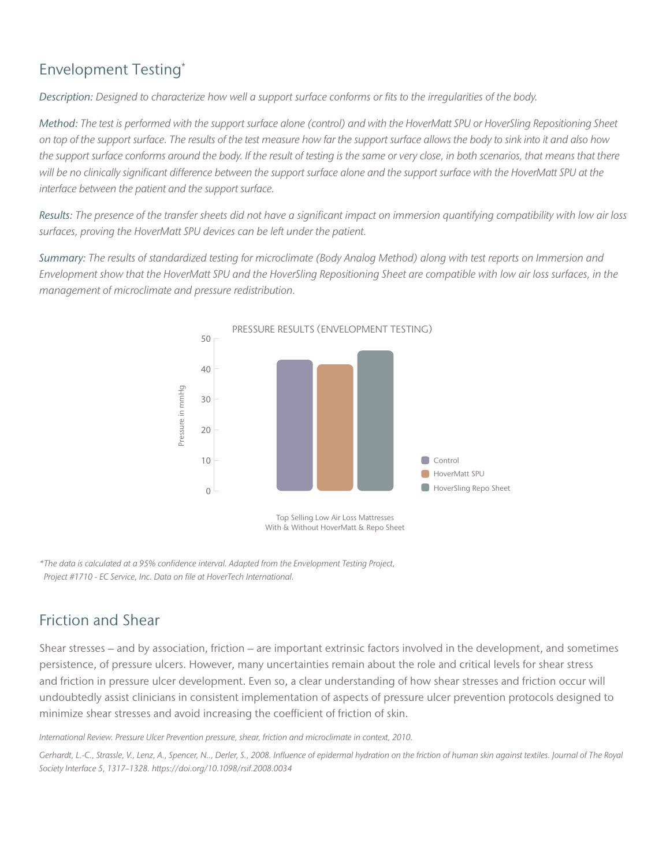### Envelopment Testing\*

*Description: Designed to characterize how well a support surface conforms or fits to the irregularities of the body.* 

*Method: The test is performed with the support surface alone (control) and with the HoverMatt SPU or HoverSling Repositioning Sheet on top of the support surface. The results of the test measure how far the support surface allows the body to sink into it and also how the support surface conforms around the body. If the result of testing is the same or very close, in both scenarios, that means that there*  will be no clinically significant difference between the support surface alone and the support surface with the HoverMatt SPU at the *interface between the patient and the support surface.* 

*Results: The presence of the transfer sheets did not have a significant impact on immersion quantifying compatibility with low air loss surfaces, proving the HoverMatt SPU devices can be left under the patient.* 

*Summary: The results of standardized testing for microclimate (Body Analog Method) along with test reports on Immersion and Envelopment show that the HoverMatt SPU and the HoverSling Repositioning Sheet are compatible with low air loss surfaces, in the management of microclimate and pressure redistribution.* 



Top Selling Low Air Loss Mattresses With & Without HoverMatt & Repo Sheet

*\*The data is calculated at a 95% confidence interval. Adapted from the Envelopment Testing Project, Project #1710 - EC Service, Inc. Data on file at HoverTech International.*

### Friction and Shear

Shear stresses – and by association, friction – are important extrinsic factors involved in the development, and sometimes persistence, of pressure ulcers. However, many uncertainties remain about the role and critical levels for shear stress and friction in pressure ulcer development. Even so, a clear understanding of how shear stresses and friction occur will undoubtedly assist clinicians in consistent implementation of aspects of pressure ulcer prevention protocols designed to minimize shear stresses and avoid increasing the coefficient of friction of skin.

*International Review. Pressure Ulcer Prevention pressure, shear, friction and microclimate in context, 2010.*

*Gerhardt, L.-C., Strassle, V., Lenz, A., Spencer, N.., Derler, S., 2008. Influence of epidermal hydration on the friction of human skin against textiles. Journal of The Royal Society Interface 5, 1317–1328. https://doi.org/10.1098/rsif.2008.0034*